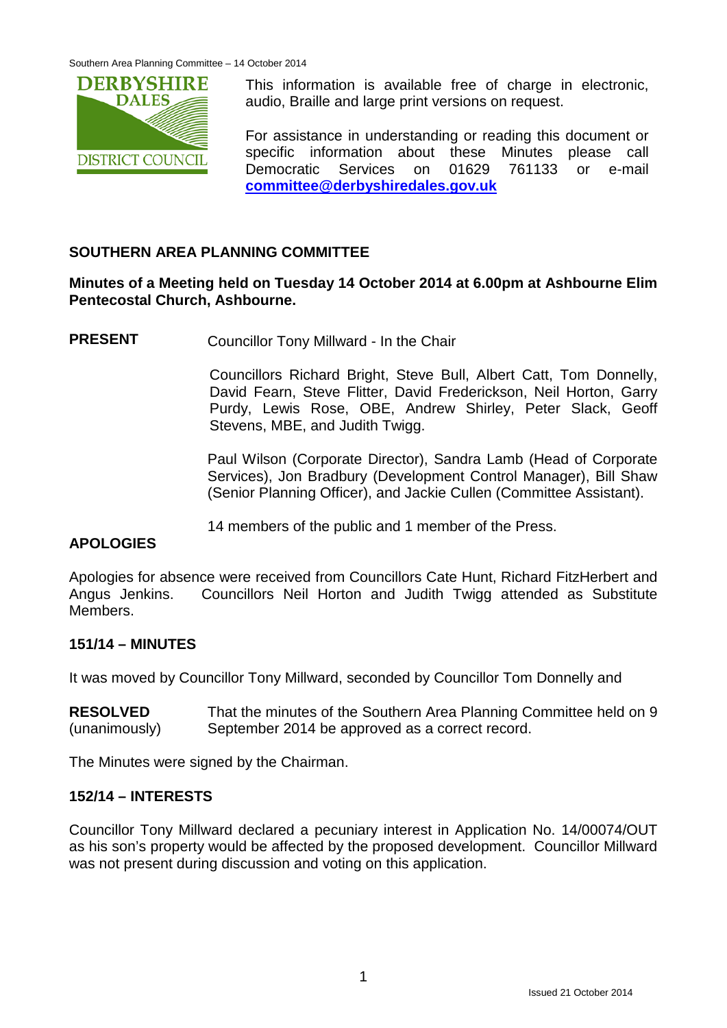

This information is available free of charge in electronic, audio, Braille and large print versions on request.

For assistance in understanding or reading this document or specific information about these Minutes please call Democratic Services on 01629 761133 or e-mail **[committee@derbyshiredales.gov.uk](mailto:committee@derbyshiredales.gov.uk)**

# **SOUTHERN AREA PLANNING COMMITTEE**

## **Minutes of a Meeting held on Tuesday 14 October 2014 at 6.00pm at Ashbourne Elim Pentecostal Church, Ashbourne.**

**PRESENT** Councillor Tony Millward - In the Chair

Councillors Richard Bright, Steve Bull, Albert Catt, Tom Donnelly, David Fearn, Steve Flitter, David Frederickson, Neil Horton, Garry Purdy, Lewis Rose, OBE, Andrew Shirley, Peter Slack, Geoff Stevens, MBE, and Judith Twigg.

Paul Wilson (Corporate Director), Sandra Lamb (Head of Corporate Services), Jon Bradbury (Development Control Manager), Bill Shaw (Senior Planning Officer), and Jackie Cullen (Committee Assistant).

14 members of the public and 1 member of the Press.

# **APOLOGIES**

Apologies for absence were received from Councillors Cate Hunt, Richard FitzHerbert and Angus Jenkins. Councillors Neil Horton and Judith Twigg attended as Substitute **Members** 

### **151/14 – MINUTES**

It was moved by Councillor Tony Millward, seconded by Councillor Tom Donnelly and

**RESOLVED** (unanimously) That the minutes of the Southern Area Planning Committee held on 9 September 2014 be approved as a correct record.

The Minutes were signed by the Chairman.

### **152/14 – INTERESTS**

Councillor Tony Millward declared a pecuniary interest in Application No. 14/00074/OUT as his son's property would be affected by the proposed development. Councillor Millward was not present during discussion and voting on this application.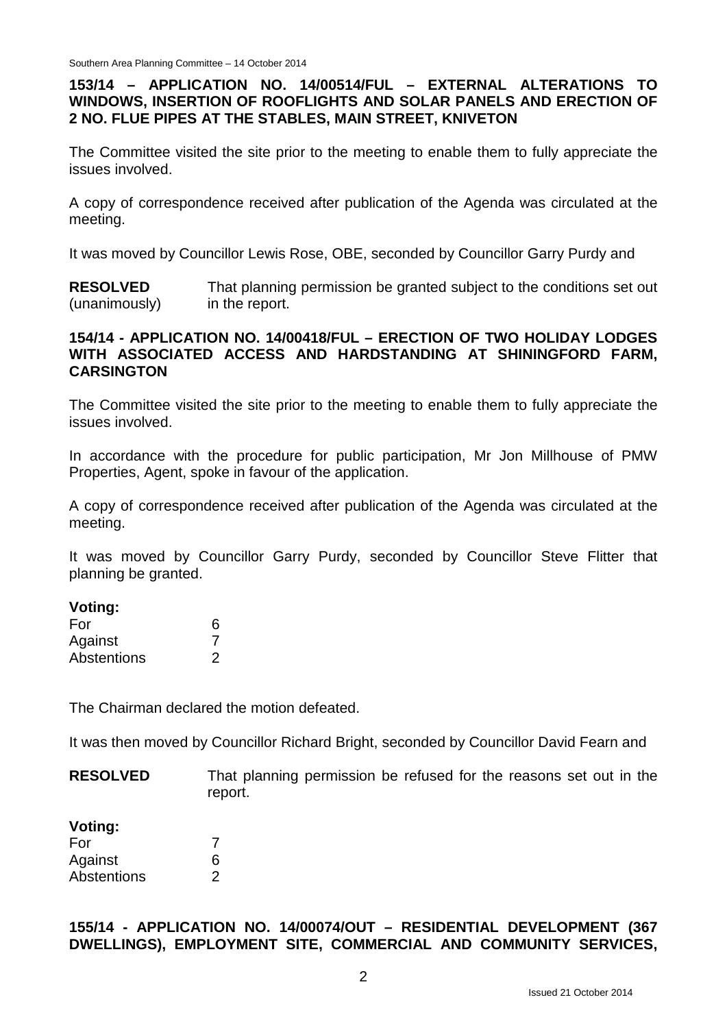# **153/14 – APPLICATION NO. 14/00514/FUL – EXTERNAL ALTERATIONS TO WINDOWS, INSERTION OF ROOFLIGHTS AND SOLAR PANELS AND ERECTION OF 2 NO. FLUE PIPES AT THE STABLES, MAIN STREET, KNIVETON**

The Committee visited the site prior to the meeting to enable them to fully appreciate the issues involved.

A copy of correspondence received after publication of the Agenda was circulated at the meeting.

It was moved by Councillor Lewis Rose, OBE, seconded by Councillor Garry Purdy and

**RESOLVED** (unanimously) That planning permission be granted subject to the conditions set out in the report.

### **154/14 - APPLICATION NO. 14/00418/FUL – ERECTION OF TWO HOLIDAY LODGES WITH ASSOCIATED ACCESS AND HARDSTANDING AT SHININGFORD FARM, CARSINGTON**

The Committee visited the site prior to the meeting to enable them to fully appreciate the issues involved.

In accordance with the procedure for public participation, Mr Jon Millhouse of PMW Properties, Agent, spoke in favour of the application.

A copy of correspondence received after publication of the Agenda was circulated at the meeting.

It was moved by Councillor Garry Purdy, seconded by Councillor Steve Flitter that planning be granted.

#### **Voting:**

| For                | 6 |
|--------------------|---|
| Against            |   |
| <b>Abstentions</b> | 2 |

The Chairman declared the motion defeated.

It was then moved by Councillor Richard Bright, seconded by Councillor David Fearn and

**RESOLVED** That planning permission be refused for the reasons set out in the report.

#### **Voting:**

| For         |   |
|-------------|---|
| Against     | 6 |
| Abstentions | 2 |

### **155/14 - APPLICATION NO. 14/00074/OUT – RESIDENTIAL DEVELOPMENT (367 DWELLINGS), EMPLOYMENT SITE, COMMERCIAL AND COMMUNITY SERVICES,**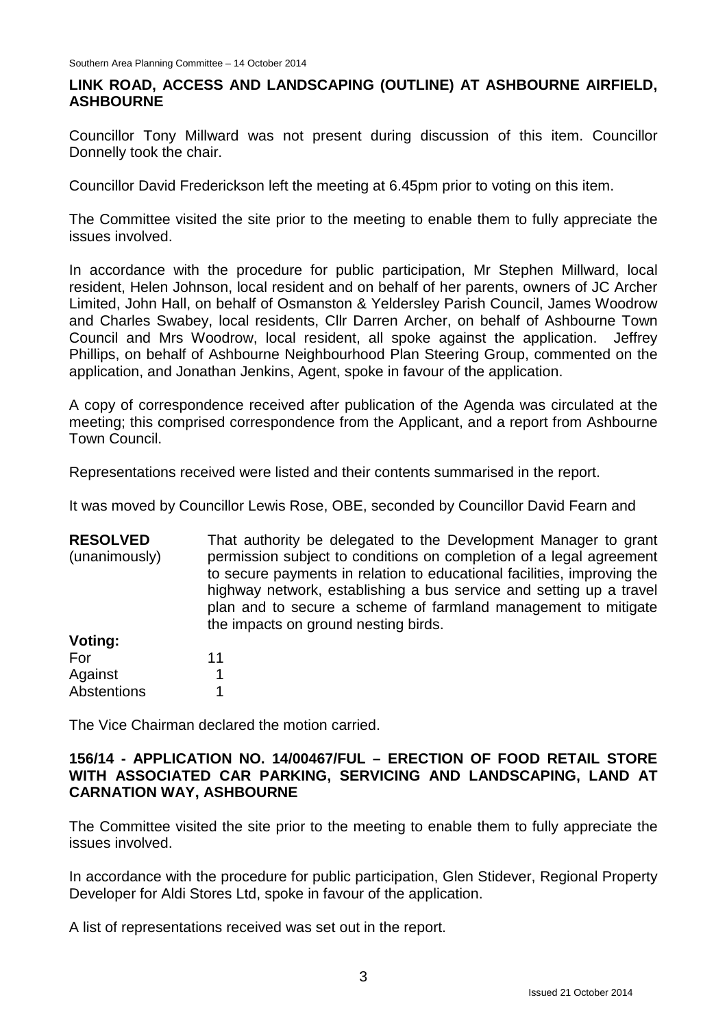## **LINK ROAD, ACCESS AND LANDSCAPING (OUTLINE) AT ASHBOURNE AIRFIELD, ASHBOURNE**

Councillor Tony Millward was not present during discussion of this item. Councillor Donnelly took the chair.

Councillor David Frederickson left the meeting at 6.45pm prior to voting on this item.

The Committee visited the site prior to the meeting to enable them to fully appreciate the issues involved.

In accordance with the procedure for public participation, Mr Stephen Millward, local resident, Helen Johnson, local resident and on behalf of her parents, owners of JC Archer Limited, John Hall, on behalf of Osmanston & Yeldersley Parish Council, James Woodrow and Charles Swabey, local residents, Cllr Darren Archer, on behalf of Ashbourne Town Council and Mrs Woodrow, local resident, all spoke against the application. Jeffrey Phillips, on behalf of Ashbourne Neighbourhood Plan Steering Group, commented on the application, and Jonathan Jenkins, Agent, spoke in favour of the application.

A copy of correspondence received after publication of the Agenda was circulated at the meeting; this comprised correspondence from the Applicant, and a report from Ashbourne Town Council.

Representations received were listed and their contents summarised in the report.

It was moved by Councillor Lewis Rose, OBE, seconded by Councillor David Fearn and

**RESOLVED** (unanimously) **Voting:** That authority be delegated to the Development Manager to grant permission subject to conditions on completion of a legal agreement to secure payments in relation to educational facilities, improving the highway network, establishing a bus service and setting up a travel plan and to secure a scheme of farmland management to mitigate the impacts on ground nesting birds.

| 11 |
|----|
|    |
| 1  |
|    |

The Vice Chairman declared the motion carried.

### **156/14 - APPLICATION NO. 14/00467/FUL – ERECTION OF FOOD RETAIL STORE WITH ASSOCIATED CAR PARKING, SERVICING AND LANDSCAPING, LAND AT CARNATION WAY, ASHBOURNE**

The Committee visited the site prior to the meeting to enable them to fully appreciate the issues involved.

In accordance with the procedure for public participation, Glen Stidever, Regional Property Developer for Aldi Stores Ltd, spoke in favour of the application.

A list of representations received was set out in the report.